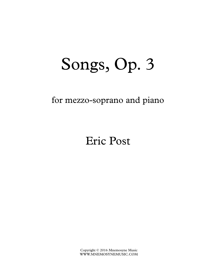## Songs, Op. 3

## for mezzo-soprano and piano

## Eric Post

Copyright © 2016 Mnemosyne Music WWW.MNEMOSYNEMUSIC.COM